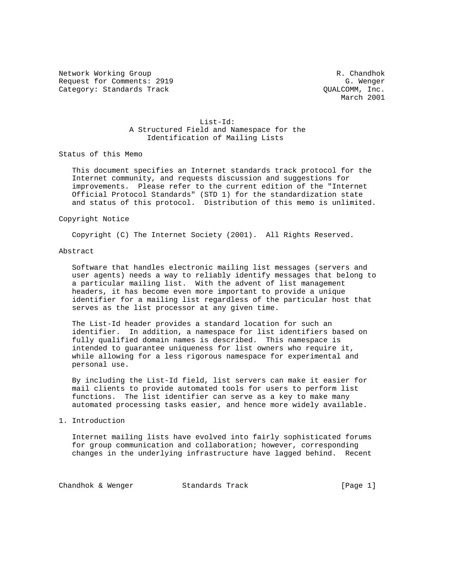Network Working Group and the set of the set of the set of the R. Chandhok Request for Comments: 2919 G. Wenger (G. Wenger (G. Wenger (G. Wenger (G. Wenger (G. Wenger (G. Wenger (G. Wenger (G. Wenger (G. Wenger (G. Wenger (G. Wenger (G. Wenger (G. Wenger (G. Wenger (G. Wenger (G. Wenger (G. Wenge Category: Standards Track

March 2001

# List-Id: A Structured Field and Namespace for the Identification of Mailing Lists

Status of this Memo

 This document specifies an Internet standards track protocol for the Internet community, and requests discussion and suggestions for improvements. Please refer to the current edition of the "Internet Official Protocol Standards" (STD 1) for the standardization state and status of this protocol. Distribution of this memo is unlimited.

### Copyright Notice

Copyright (C) The Internet Society (2001). All Rights Reserved.

## Abstract

 Software that handles electronic mailing list messages (servers and user agents) needs a way to reliably identify messages that belong to a particular mailing list. With the advent of list management headers, it has become even more important to provide a unique identifier for a mailing list regardless of the particular host that serves as the list processor at any given time.

 The List-Id header provides a standard location for such an identifier. In addition, a namespace for list identifiers based on fully qualified domain names is described. This namespace is intended to guarantee uniqueness for list owners who require it, while allowing for a less rigorous namespace for experimental and personal use.

 By including the List-Id field, list servers can make it easier for mail clients to provide automated tools for users to perform list functions. The list identifier can serve as a key to make many automated processing tasks easier, and hence more widely available.

### 1. Introduction

 Internet mailing lists have evolved into fairly sophisticated forums for group communication and collaboration; however, corresponding changes in the underlying infrastructure have lagged behind. Recent

Chandhok & Wenger Standards Track [Page 1]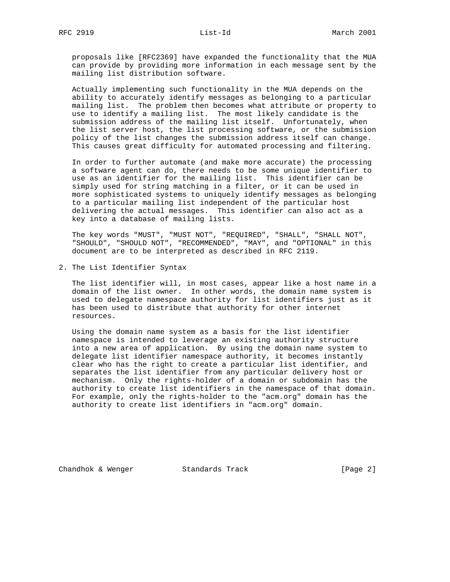proposals like [RFC2369] have expanded the functionality that the MUA can provide by providing more information in each message sent by the mailing list distribution software.

 Actually implementing such functionality in the MUA depends on the ability to accurately identify messages as belonging to a particular mailing list. The problem then becomes what attribute or property to use to identify a mailing list. The most likely candidate is the submission address of the mailing list itself. Unfortunately, when the list server host, the list processing software, or the submission policy of the list changes the submission address itself can change. This causes great difficulty for automated processing and filtering.

 In order to further automate (and make more accurate) the processing a software agent can do, there needs to be some unique identifier to use as an identifier for the mailing list. This identifier can be simply used for string matching in a filter, or it can be used in more sophisticated systems to uniquely identify messages as belonging to a particular mailing list independent of the particular host delivering the actual messages. This identifier can also act as a key into a database of mailing lists.

 The key words "MUST", "MUST NOT", "REQUIRED", "SHALL", "SHALL NOT", "SHOULD", "SHOULD NOT", "RECOMMENDED", "MAY", and "OPTIONAL" in this document are to be interpreted as described in RFC 2119.

2. The List Identifier Syntax

 The list identifier will, in most cases, appear like a host name in a domain of the list owner. In other words, the domain name system is used to delegate namespace authority for list identifiers just as it has been used to distribute that authority for other internet resources.

 Using the domain name system as a basis for the list identifier namespace is intended to leverage an existing authority structure into a new area of application. By using the domain name system to delegate list identifier namespace authority, it becomes instantly clear who has the right to create a particular list identifier, and separates the list identifier from any particular delivery host or mechanism. Only the rights-holder of a domain or subdomain has the authority to create list identifiers in the namespace of that domain. For example, only the rights-holder to the "acm.org" domain has the authority to create list identifiers in "acm.org" domain.

Chandhok & Wenger Standards Track [Page 2]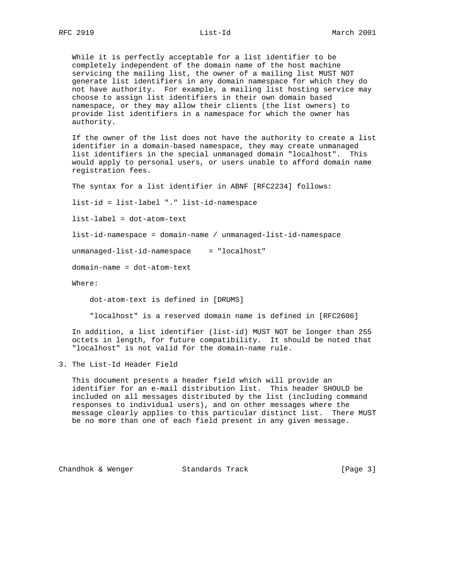While it is perfectly acceptable for a list identifier to be completely independent of the domain name of the host machine servicing the mailing list, the owner of a mailing list MUST NOT generate list identifiers in any domain namespace for which they do not have authority. For example, a mailing list hosting service may choose to assign list identifiers in their own domain based namespace, or they may allow their clients (the list owners) to provide list identifiers in a namespace for which the owner has authority.

 If the owner of the list does not have the authority to create a list identifier in a domain-based namespace, they may create unmanaged list identifiers in the special unmanaged domain "localhost". This would apply to personal users, or users unable to afford domain name registration fees.

The syntax for a list identifier in ABNF [RFC2234] follows:

list-id = list-label "." list-id-namespace

list-label = dot-atom-text

list-id-namespace = domain-name / unmanaged-list-id-namespace

unmanaged-list-id-namespace = "localhost"

domain-name = dot-atom-text

Where:

dot-atom-text is defined in [DRUMS]

"localhost" is a reserved domain name is defined in [RFC2606]

 In addition, a list identifier (list-id) MUST NOT be longer than 255 octets in length, for future compatibility. It should be noted that "localhost" is not valid for the domain-name rule.

3. The List-Id Header Field

 This document presents a header field which will provide an identifier for an e-mail distribution list. This header SHOULD be included on all messages distributed by the list (including command responses to individual users), and on other messages where the message clearly applies to this particular distinct list. There MUST be no more than one of each field present in any given message.

Chandhok & Wenger Standards Track [Page 3]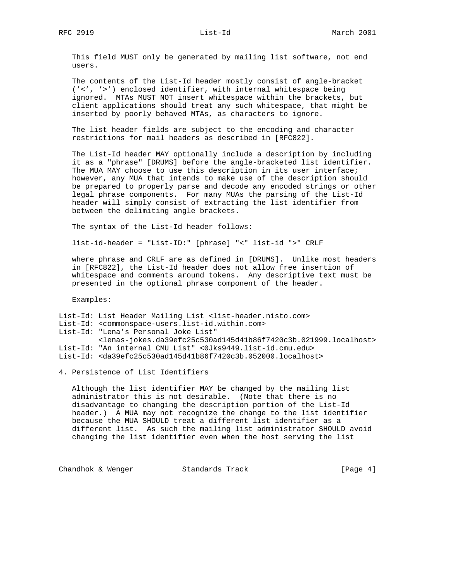This field MUST only be generated by mailing list software, not end users.

 The contents of the List-Id header mostly consist of angle-bracket ('<', '>') enclosed identifier, with internal whitespace being ignored. MTAs MUST NOT insert whitespace within the brackets, but client applications should treat any such whitespace, that might be inserted by poorly behaved MTAs, as characters to ignore.

 The list header fields are subject to the encoding and character restrictions for mail headers as described in [RFC822].

 The List-Id header MAY optionally include a description by including it as a "phrase" [DRUMS] before the angle-bracketed list identifier. The MUA MAY choose to use this description in its user interface; however, any MUA that intends to make use of the description should be prepared to properly parse and decode any encoded strings or other legal phrase components. For many MUAs the parsing of the List-Id header will simply consist of extracting the list identifier from between the delimiting angle brackets.

The syntax of the List-Id header follows:

list-id-header = "List-ID:" [phrase] "<" list-id ">" CRLF

 where phrase and CRLF are as defined in [DRUMS]. Unlike most headers in [RFC822], the List-Id header does not allow free insertion of whitespace and comments around tokens. Any descriptive text must be presented in the optional phrase component of the header.

Examples:

List-Id: List Header Mailing List <list-header.nisto.com> List-Id: <commonspace-users.list-id.within.com> List-Id: "Lena's Personal Joke List" <lenas-jokes.da39efc25c530ad145d41b86f7420c3b.021999.localhost> List-Id: "An internal CMU List" <0Jks9449.list-id.cmu.edu> List-Id: <da39efc25c530ad145d41b86f7420c3b.052000.localhost>

4. Persistence of List Identifiers

 Although the list identifier MAY be changed by the mailing list administrator this is not desirable. (Note that there is no disadvantage to changing the description portion of the List-Id header.) A MUA may not recognize the change to the list identifier because the MUA SHOULD treat a different list identifier as a different list. As such the mailing list administrator SHOULD avoid changing the list identifier even when the host serving the list

Chandhok & Wenger Standards Track [Page 4]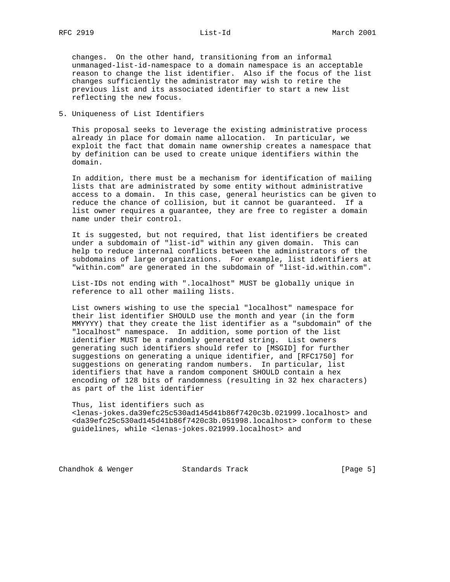changes. On the other hand, transitioning from an informal unmanaged-list-id-namespace to a domain namespace is an acceptable reason to change the list identifier. Also if the focus of the list changes sufficiently the administrator may wish to retire the previous list and its associated identifier to start a new list reflecting the new focus.

5. Uniqueness of List Identifiers

 This proposal seeks to leverage the existing administrative process already in place for domain name allocation. In particular, we exploit the fact that domain name ownership creates a namespace that by definition can be used to create unique identifiers within the domain.

 In addition, there must be a mechanism for identification of mailing lists that are administrated by some entity without administrative access to a domain. In this case, general heuristics can be given to reduce the chance of collision, but it cannot be guaranteed. If a list owner requires a guarantee, they are free to register a domain name under their control.

 It is suggested, but not required, that list identifiers be created under a subdomain of "list-id" within any given domain. This can help to reduce internal conflicts between the administrators of the subdomains of large organizations. For example, list identifiers at "within.com" are generated in the subdomain of "list-id.within.com".

 List-IDs not ending with ".localhost" MUST be globally unique in reference to all other mailing lists.

 List owners wishing to use the special "localhost" namespace for their list identifier SHOULD use the month and year (in the form MMYYYY) that they create the list identifier as a "subdomain" of the "localhost" namespace. In addition, some portion of the list identifier MUST be a randomly generated string. List owners generating such identifiers should refer to [MSGID] for further suggestions on generating a unique identifier, and [RFC1750] for suggestions on generating random numbers. In particular, list identifiers that have a random component SHOULD contain a hex encoding of 128 bits of randomness (resulting in 32 hex characters) as part of the list identifier

 Thus, list identifiers such as <lenas-jokes.da39efc25c530ad145d41b86f7420c3b.021999.localhost> and <da39efc25c530ad145d41b86f7420c3b.051998.localhost> conform to these guidelines, while <lenas-jokes.021999.localhost> and

Chandhok & Wenger Standards Track [Page 5]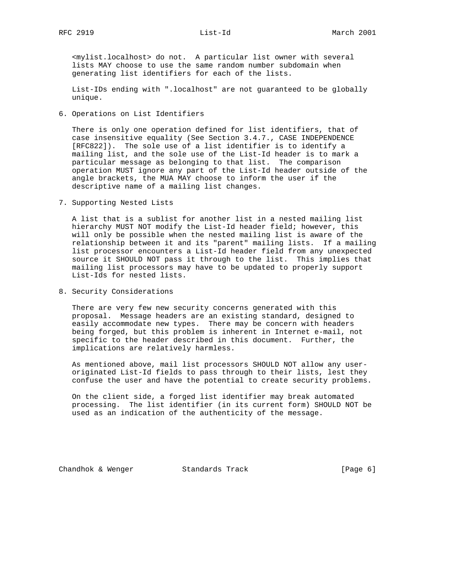<mylist.localhost> do not. A particular list owner with several lists MAY choose to use the same random number subdomain when generating list identifiers for each of the lists.

 List-IDs ending with ".localhost" are not guaranteed to be globally unique.

6. Operations on List Identifiers

 There is only one operation defined for list identifiers, that of case insensitive equality (See Section 3.4.7., CASE INDEPENDENCE [RFC822]). The sole use of a list identifier is to identify a mailing list, and the sole use of the List-Id header is to mark a particular message as belonging to that list. The comparison operation MUST ignore any part of the List-Id header outside of the angle brackets, the MUA MAY choose to inform the user if the descriptive name of a mailing list changes.

7. Supporting Nested Lists

 A list that is a sublist for another list in a nested mailing list hierarchy MUST NOT modify the List-Id header field; however, this will only be possible when the nested mailing list is aware of the relationship between it and its "parent" mailing lists. If a mailing list processor encounters a List-Id header field from any unexpected source it SHOULD NOT pass it through to the list. This implies that mailing list processors may have to be updated to properly support List-Ids for nested lists.

8. Security Considerations

 There are very few new security concerns generated with this proposal. Message headers are an existing standard, designed to easily accommodate new types. There may be concern with headers being forged, but this problem is inherent in Internet e-mail, not specific to the header described in this document. Further, the implications are relatively harmless.

 As mentioned above, mail list processors SHOULD NOT allow any user originated List-Id fields to pass through to their lists, lest they confuse the user and have the potential to create security problems.

 On the client side, a forged list identifier may break automated processing. The list identifier (in its current form) SHOULD NOT be used as an indication of the authenticity of the message.

Chandhok & Wenger Standards Track [Page 6]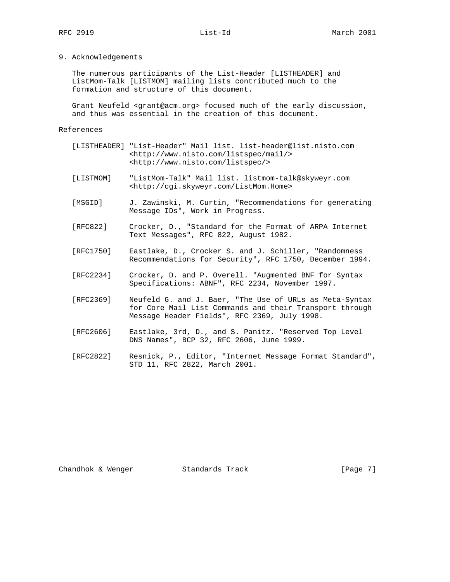### 9. Acknowledgements

 The numerous participants of the List-Header [LISTHEADER] and ListMom-Talk [LISTMOM] mailing lists contributed much to the formation and structure of this document.

 Grant Neufeld <grant@acm.org> focused much of the early discussion, and thus was essential in the creation of this document.

### References

- [LISTHEADER] "List-Header" Mail list. list-header@list.nisto.com <http://www.nisto.com/listspec/mail/> <http://www.nisto.com/listspec/>
- [LISTMOM] "ListMom-Talk" Mail list. listmom-talk@skyweyr.com <http://cgi.skyweyr.com/ListMom.Home>
- [MSGID] J. Zawinski, M. Curtin, "Recommendations for generating Message IDs", Work in Progress.
- [RFC822] Crocker, D., "Standard for the Format of ARPA Internet Text Messages", RFC 822, August 1982.
- [RFC1750] Eastlake, D., Crocker S. and J. Schiller, "Randomness Recommendations for Security", RFC 1750, December 1994.
- [RFC2234] Crocker, D. and P. Overell. "Augmented BNF for Syntax Specifications: ABNF", RFC 2234, November 1997.
- [RFC2369] Neufeld G. and J. Baer, "The Use of URLs as Meta-Syntax for Core Mail List Commands and their Transport through Message Header Fields", RFC 2369, July 1998.
- [RFC2606] Eastlake, 3rd, D., and S. Panitz. "Reserved Top Level DNS Names", BCP 32, RFC 2606, June 1999.
- [RFC2822] Resnick, P., Editor, "Internet Message Format Standard", STD 11, RFC 2822, March 2001.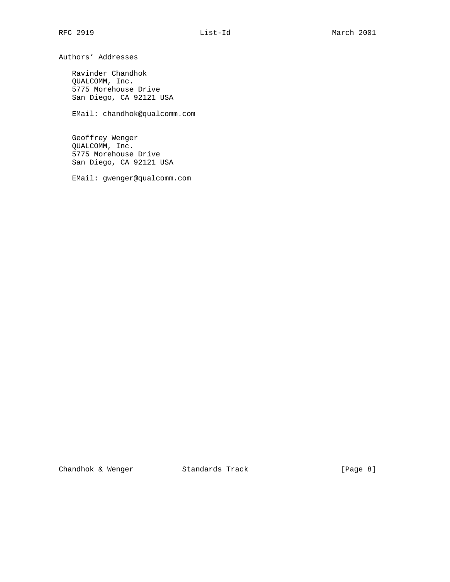Authors' Addresses

 Ravinder Chandhok QUALCOMM, Inc. 5775 Morehouse Drive San Diego, CA 92121 USA

EMail: chandhok@qualcomm.com

 Geoffrey Wenger QUALCOMM, Inc. 5775 Morehouse Drive San Diego, CA 92121 USA

EMail: gwenger@qualcomm.com